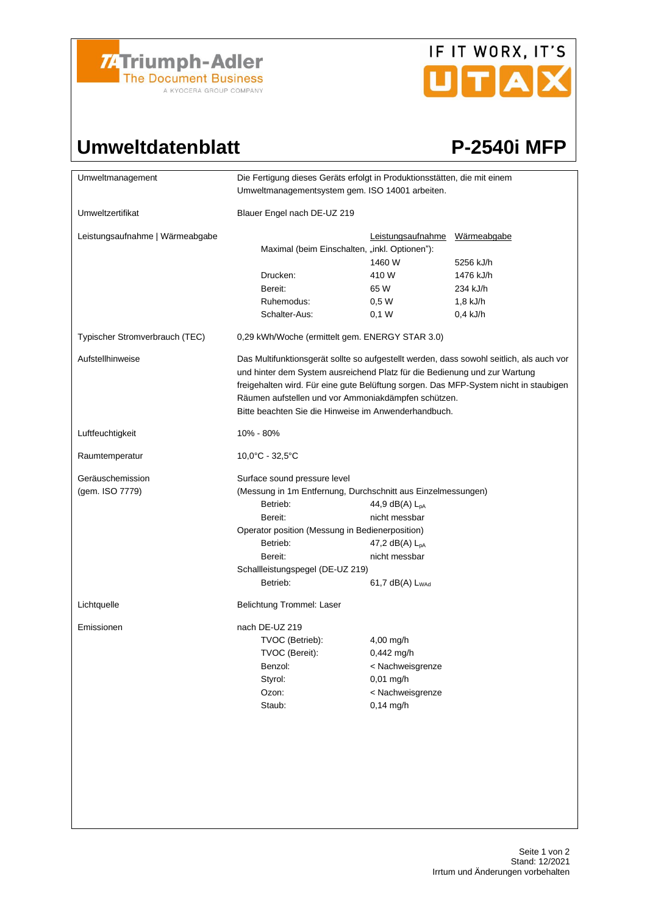

## IF IT WORX, IT'S UTAX

## Umweltdatenblatt P-2540i MFP

| Umweltmanagement                    | Die Fertigung dieses Geräts erfolgt in Produktionsstätten, die mit einem<br>Umweltmanagementsystem gem. ISO 14001 arbeiten.                                                                                                                                                                                                                                                  |                                                                                                   |             |  |
|-------------------------------------|------------------------------------------------------------------------------------------------------------------------------------------------------------------------------------------------------------------------------------------------------------------------------------------------------------------------------------------------------------------------------|---------------------------------------------------------------------------------------------------|-------------|--|
| Umweltzertifikat                    | Blauer Engel nach DE-UZ 219                                                                                                                                                                                                                                                                                                                                                  |                                                                                                   |             |  |
| Leistungsaufnahme   Wärmeabgabe     | Maximal (beim Einschalten, "inkl. Optionen"):                                                                                                                                                                                                                                                                                                                                | Leistungsaufnahme                                                                                 | Wärmeabgabe |  |
|                                     |                                                                                                                                                                                                                                                                                                                                                                              | 1460 W                                                                                            | 5256 kJ/h   |  |
|                                     | Drucken:                                                                                                                                                                                                                                                                                                                                                                     | 410W                                                                                              | 1476 kJ/h   |  |
|                                     | Bereit:                                                                                                                                                                                                                                                                                                                                                                      | 65 W                                                                                              | 234 kJ/h    |  |
|                                     | Ruhemodus:                                                                                                                                                                                                                                                                                                                                                                   | 0,5 W                                                                                             | 1,8 kJ/h    |  |
|                                     | Schalter-Aus:                                                                                                                                                                                                                                                                                                                                                                | $0,1$ W                                                                                           | $0.4$ kJ/h  |  |
| Typischer Stromverbrauch (TEC)      | 0,29 kWh/Woche (ermittelt gem. ENERGY STAR 3.0)                                                                                                                                                                                                                                                                                                                              |                                                                                                   |             |  |
| Aufstellhinweise                    | Das Multifunktionsgerät sollte so aufgestellt werden, dass sowohl seitlich, als auch vor<br>und hinter dem System ausreichend Platz für die Bedienung und zur Wartung<br>freigehalten wird. Für eine gute Belüftung sorgen. Das MFP-System nicht in staubigen<br>Räumen aufstellen und vor Ammoniakdämpfen schützen.<br>Bitte beachten Sie die Hinweise im Anwenderhandbuch. |                                                                                                   |             |  |
| Luftfeuchtigkeit                    | 10% - 80%                                                                                                                                                                                                                                                                                                                                                                    |                                                                                                   |             |  |
| Raumtemperatur                      | $10.0^{\circ}$ C - 32,5 $^{\circ}$ C                                                                                                                                                                                                                                                                                                                                         |                                                                                                   |             |  |
| Geräuschemission<br>(gem. ISO 7779) | Surface sound pressure level<br>(Messung in 1m Entfernung, Durchschnitt aus Einzelmessungen)<br>Betrieb:<br>44,9 dB(A) L <sub>pA</sub><br>Bereit:<br>nicht messbar<br>Operator position (Messung in Bedienerposition)<br>Betrieb:<br>47,2 $dB(A)$ $L_{pA}$<br>nicht messbar<br>Bereit:<br>Schallleistungspegel (DE-UZ 219)<br>Betrieb:<br>$61,7$ dB(A) $L_{WAd}$             |                                                                                                   |             |  |
| Lichtquelle                         | Belichtung Trommel: Laser                                                                                                                                                                                                                                                                                                                                                    |                                                                                                   |             |  |
| Emissionen                          | nach DE-UZ 219<br>TVOC (Betrieb):<br>TVOC (Bereit):<br>Benzol:<br>Styrol:<br>Ozon:<br>Staub:                                                                                                                                                                                                                                                                                 | $4,00$ mg/h<br>$0,442$ mg/h<br>< Nachweisgrenze<br>$0,01$ mg/h<br>< Nachweisgrenze<br>$0,14$ mg/h |             |  |